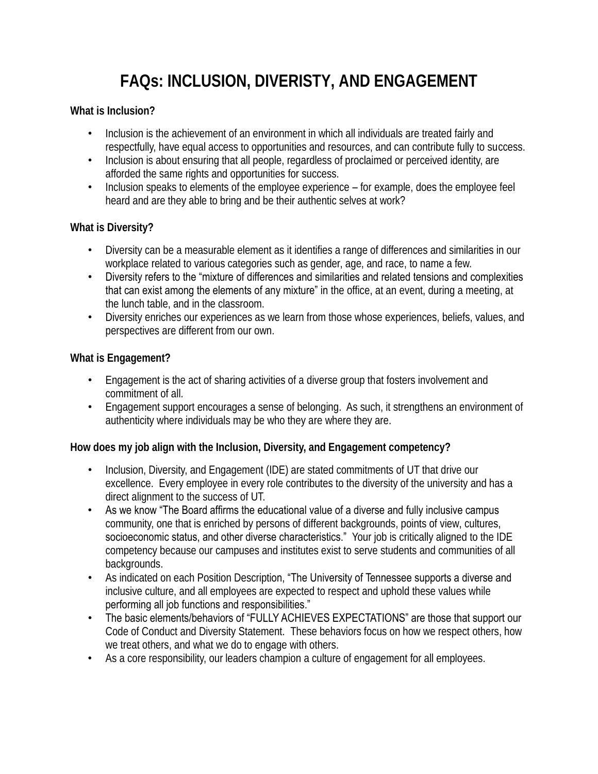## **FAQs: INCLUSION, DIVERISTY, AND ENGAGEMENT**

**What is Inclusion?**

- Inclusion is the achievement of an environment in which all individuals are treated fairly and respectfully, have equal access to opportunities and resources, and can contribute fully to success.
- Inclusion is about ensuring that all people, regardless of proclaimed or perceived identity, are afforded the same rights and opportunities for success.
- Inclusion speaks to elements of the employee experience for example, does the employee feel heard and are they able to bring and be their authentic selves at work?

**What is Diversity?**

- Diversity can be a measurable element as it identifies a range of differences and similarities in our workplace related to various categories such as gender, age, and race, to name a few.
- Diversity refers to the "mixture of differences and similarities and related tensions and complexities that can exist among the elements of any mixture" in the office, at an event, during a meeting, at the lunch table, and in the classroom.
- Diversity enriches our experiences as we learn from those whose experiences, beliefs, values, and perspectives are different from our own.

**What is Engagement?**

- Engagement is the act of sharing activities of a diverse group that fosters involvement and commitment of all.
- Engagement support encourages a sense of belonging. As such, it strengthens an environment of authenticity where individuals may be who they are where they are.

**How does my job align with the Inclusion, Diversity, and Engagement competency?**

- Inclusion, Diversity, and Engagement (IDE) are stated commitments of UT that drive our excellence. Every employee in every role contributes to the diversity of the university and has a direct alignment to the success of UT.
- As we know "The Board affirms the educational value of a diverse and fully inclusive campus community, one that is enriched by persons of different backgrounds, points of view, cultures, socioeconomic status, and other diverse characteristics." Your job is critically aligned to the IDE competency because our campuses and institutes exist to serve students and communities of all backgrounds.
- As indicated on each Position Description, "The University of Tennessee supports a diverse and inclusive culture, and all employees are expected to respect and uphold these values while performing all job functions and responsibilities."
- The basic elements/behaviors of "FULLY ACHIEVES EXPECTATIONS" are those that support our Code of Conduct and Diversity Statement. These behaviors focus on how we respect others, how we treat others, and what we do to engage with others.
- As a core responsibility, our leaders champion a culture of engagement for all employees.